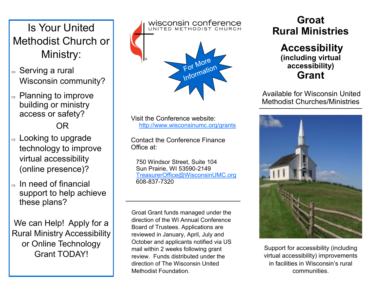# Is Your United Methodist Church or Ministry:

- $\Rightarrow$  Serving a rural Wisconsin community?
- $\Rightarrow$  Planning to improve building or ministry access or safety?

OR

- $\Rightarrow$  Looking to upgrade technology to improve virtual accessibility (online presence)?
- In need of financial support to help achieve these plans?

We can Help! Apply for a Rural Ministry Accessibility or Online Technology Grant TODAY!

wisconsin conference UNITED METHODIST CHURCH For More For More

Visit the Conference website: http://www.wisconsinumc.org/grants

Contact the Conference Finance Office at:

 750 Windsor Street, Suite 104 Sun Prairie, WI 53590-2149 [TreasurerOffice@WisconsinUMC.org](mailto:TreasurerOffice@WisconsinUMC.org) 608-837-7320

Groat Grant funds managed under the direction of the WI Annual Conference Board of Trustees. Applications are reviewed in January, April, July and October and applicants notified via US mail within 2 weeks following grant review. Funds distributed under the direction of The Wisconsin United Methodist Foundation.

### **Groat Rural Ministries**

**Accessibility (including virtual accessibility) Grant**

Available for Wisconsin United Methodist Churches/Ministries



Support for accessibility (including virtual accessibility) improvements in facilities in Wisconsin's rural communities.